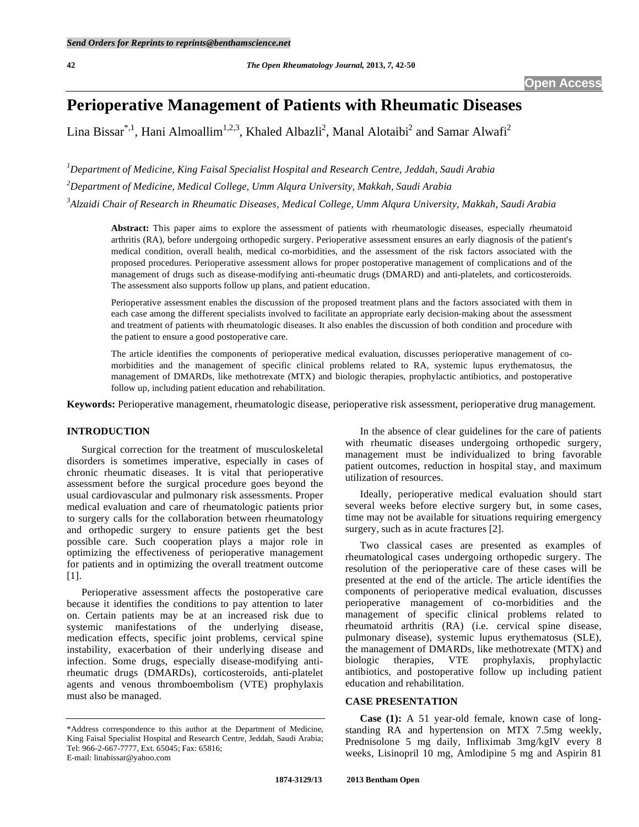# **Perioperative Management of Patients with Rheumatic Diseases**

Lina Bissar<sup>\*,1</sup>, Hani Almoallim<sup>1,2,3</sup>, Khaled Albazli<sup>2</sup>, Manal Alotaibi<sup>2</sup> and Samar Alwafi<sup>2</sup>

*1 Department of Medicine, King Faisal Specialist Hospital and Research Centre, Jeddah, Saudi Arabia 2 Department of Medicine, Medical College, Umm Alqura University, Makkah, Saudi Arabia 3 Alzaidi Chair of Research in Rheumatic Diseases, Medical College, Umm Alqura University, Makkah, Saudi Arabia*

**Abstract:** This paper aims to explore the assessment of patients with rheumatologic diseases, especially rheumatoid arthritis (RA), before undergoing orthopedic surgery. Perioperative assessment ensures an early diagnosis of the patient's medical condition, overall health, medical co-morbidities, and the assessment of the risk factors associated with the proposed procedures. Perioperative assessment allows for proper postoperative management of complications and of the management of drugs such as disease-modifying anti-rheumatic drugs (DMARD) and anti-platelets, and corticosteroids. The assessment also supports follow up plans, and patient education.

Perioperative assessment enables the discussion of the proposed treatment plans and the factors associated with them in each case among the different specialists involved to facilitate an appropriate early decision-making about the assessment and treatment of patients with rheumatologic diseases. It also enables the discussion of both condition and procedure with the patient to ensure a good postoperative care.

The article identifies the components of perioperative medical evaluation, discusses perioperative management of comorbidities and the management of specific clinical problems related to RA, systemic lupus erythematosus, the management of DMARDs, like methotrexate (MTX) and biologic therapies, prophylactic antibiotics, and postoperative follow up, including patient education and rehabilitation.

**Keywords:** Perioperative management, rheumatologic disease, perioperative risk assessment, perioperative drug management.

# **INTRODUCTION**

 Surgical correction for the treatment of musculoskeletal disorders is sometimes imperative, especially in cases of chronic rheumatic diseases. It is vital that perioperative assessment before the surgical procedure goes beyond the usual cardiovascular and pulmonary risk assessments. Proper medical evaluation and care of rheumatologic patients prior to surgery calls for the collaboration between rheumatology and orthopedic surgery to ensure patients get the best possible care. Such cooperation plays a major role in optimizing the effectiveness of perioperative management for patients and in optimizing the overall treatment outcome [1].

 Perioperative assessment affects the postoperative care because it identifies the conditions to pay attention to later on. Certain patients may be at an increased risk due to systemic manifestations of the underlying disease, medication effects, specific joint problems, cervical spine instability, exacerbation of their underlying disease and infection. Some drugs, especially disease-modifying antirheumatic drugs (DMARDs), corticosteroids, anti-platelet agents and venous thromboembolism (VTE) prophylaxis must also be managed.

 In the absence of clear guidelines for the care of patients with rheumatic diseases undergoing orthopedic surgery, management must be individualized to bring favorable patient outcomes, reduction in hospital stay, and maximum utilization of resources.

 Ideally, perioperative medical evaluation should start several weeks before elective surgery but, in some cases, time may not be available for situations requiring emergency surgery, such as in acute fractures [2].

 Two classical cases are presented as examples of rheumatological cases undergoing orthopedic surgery. The resolution of the perioperative care of these cases will be presented at the end of the article. The article identifies the components of perioperative medical evaluation, discusses perioperative management of co-morbidities and the management of specific clinical problems related to rheumatoid arthritis (RA) (i.e. cervical spine disease, pulmonary disease), systemic lupus erythematosus (SLE), the management of DMARDs, like methotrexate (MTX) and biologic therapies, VTE prophylaxis, prophylactic antibiotics, and postoperative follow up including patient education and rehabilitation.

# **CASE PRESENTATION**

 **Case (1):** A 51 year-old female, known case of longstanding RA and hypertension on MTX 7.5mg weekly, Prednisolone 5 mg daily, Infliximab 3mg/kgIV every 8 weeks, Lisinopril 10 mg, Amlodipine 5 mg and Aspirin 81

<sup>\*</sup>Address correspondence to this author at the Department of Medicine, King Faisal Specialist Hospital and Research Centre, Jeddah, Saudi Arabia; Tel: 966-2-667-7777, Ext. 65045; Fax: 65816; E-mail: linabissar@yahoo.com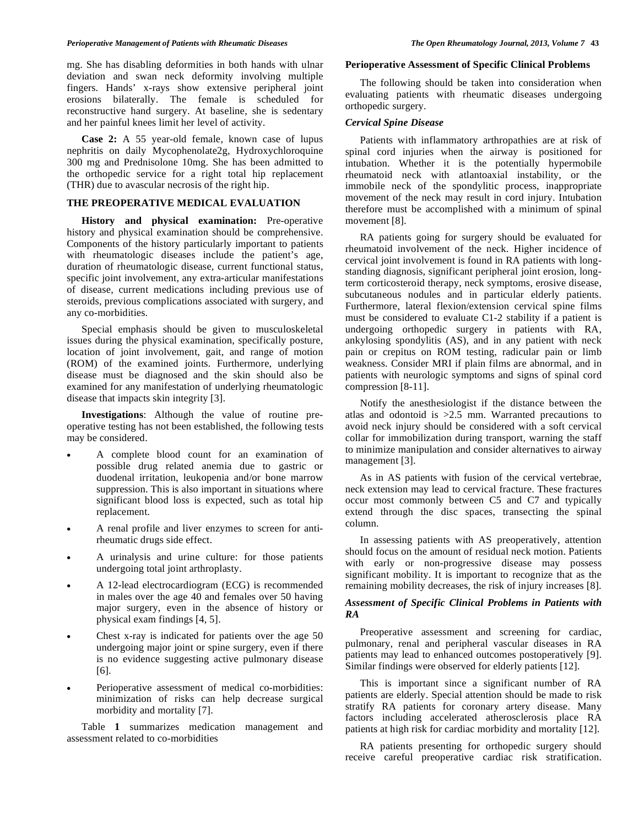mg. She has disabling deformities in both hands with ulnar deviation and swan neck deformity involving multiple fingers. Hands' x-rays show extensive peripheral joint erosions bilaterally. The female is scheduled for reconstructive hand surgery. At baseline, she is sedentary and her painful knees limit her level of activity.

 **Case 2:** A 55 year-old female, known case of lupus nephritis on daily Mycophenolate2g, Hydroxychloroquine 300 mg and Prednisolone 10mg. She has been admitted to the orthopedic service for a right total hip replacement (THR) due to avascular necrosis of the right hip.

#### **THE PREOPERATIVE MEDICAL EVALUATION**

 **History and physical examination:** Pre-operative history and physical examination should be comprehensive. Components of the history particularly important to patients with rheumatologic diseases include the patient's age, duration of rheumatologic disease, current functional status, specific joint involvement, any extra-articular manifestations of disease, current medications including previous use of steroids, previous complications associated with surgery, and any co-morbidities.

 Special emphasis should be given to musculoskeletal issues during the physical examination, specifically posture, location of joint involvement, gait, and range of motion (ROM) of the examined joints. Furthermore, underlying disease must be diagnosed and the skin should also be examined for any manifestation of underlying rheumatologic disease that impacts skin integrity [3].

 **Investigations**: Although the value of routine preoperative testing has not been established, the following tests may be considered.

- A complete blood count for an examination of possible drug related anemia due to gastric or duodenal irritation, leukopenia and/or bone marrow suppression. This is also important in situations where significant blood loss is expected, such as total hip replacement.
- A renal profile and liver enzymes to screen for antirheumatic drugs side effect.
- A urinalysis and urine culture: for those patients undergoing total joint arthroplasty.
- A 12-lead electrocardiogram (ECG) is recommended in males over the age 40 and females over 50 having major surgery, even in the absence of history or physical exam findings [4, 5].
- Chest x-ray is indicated for patients over the age 50 undergoing major joint or spine surgery, even if there is no evidence suggesting active pulmonary disease [6].
- Perioperative assessment of medical co-morbidities: minimization of risks can help decrease surgical morbidity and mortality [7].

 Table **1** summarizes medication management and assessment related to co-morbidities

### **Perioperative Assessment of Specific Clinical Problems**

 The following should be taken into consideration when evaluating patients with rheumatic diseases undergoing orthopedic surgery.

# *Cervical Spine Disease*

 Patients with inflammatory arthropathies are at risk of spinal cord injuries when the airway is positioned for intubation. Whether it is the potentially hypermobile rheumatoid neck with atlantoaxial instability, or the immobile neck of the spondylitic process, inappropriate movement of the neck may result in cord injury. Intubation therefore must be accomplished with a minimum of spinal movement [8].

 RA patients going for surgery should be evaluated for rheumatoid involvement of the neck. Higher incidence of cervical joint involvement is found in RA patients with longstanding diagnosis, significant peripheral joint erosion, longterm corticosteroid therapy, neck symptoms, erosive disease, subcutaneous nodules and in particular elderly patients. Furthermore, lateral flexion/extension cervical spine films must be considered to evaluate C1-2 stability if a patient is undergoing orthopedic surgery in patients with RA, ankylosing spondylitis (AS), and in any patient with neck pain or crepitus on ROM testing, radicular pain or limb weakness. Consider MRI if plain films are abnormal, and in patients with neurologic symptoms and signs of spinal cord compression [8-11].

 Notify the anesthesiologist if the distance between the atlas and odontoid is  $>2.5$  mm. Warranted precautions to avoid neck injury should be considered with a soft cervical collar for immobilization during transport, warning the staff to minimize manipulation and consider alternatives to airway management [3].

 As in AS patients with fusion of the cervical vertebrae, neck extension may lead to cervical fracture. These fractures occur most commonly between C5 and C7 and typically extend through the disc spaces, transecting the spinal column.

 In assessing patients with AS preoperatively, attention should focus on the amount of residual neck motion. Patients with early or non-progressive disease may possess significant mobility. It is important to recognize that as the remaining mobility decreases, the risk of injury increases [8].

# *Assessment of Specific Clinical Problems in Patients with RA*

 Preoperative assessment and screening for cardiac, pulmonary, renal and peripheral vascular diseases in RA patients may lead to enhanced outcomes postoperatively [9]. Similar findings were observed for elderly patients [12].

 This is important since a significant number of RA patients are elderly. Special attention should be made to risk stratify RA patients for coronary artery disease. Many factors including accelerated atherosclerosis place RA patients at high risk for cardiac morbidity and mortality [12].

 RA patients presenting for orthopedic surgery should receive careful preoperative cardiac risk stratification.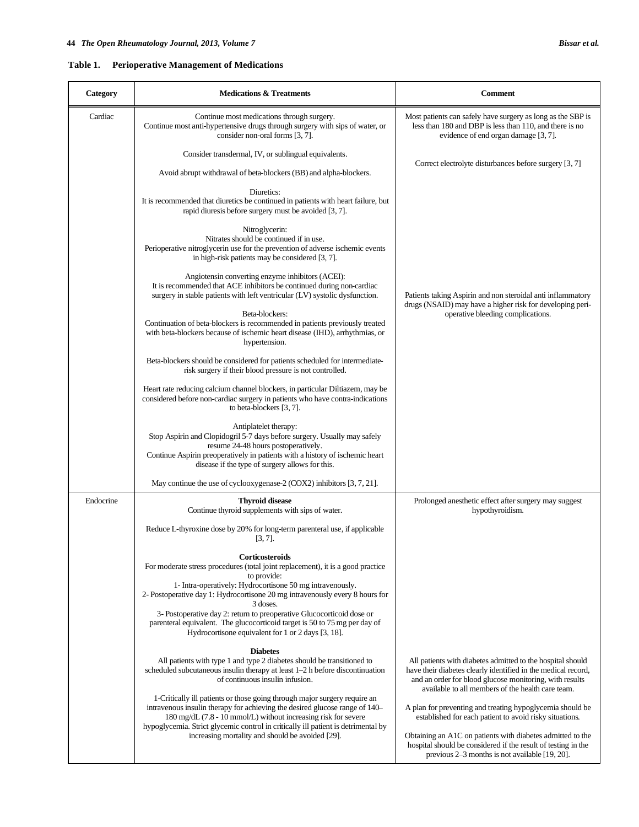| Category  | <b>Medications &amp; Treatments</b>                                                                                                                                                                                        | <b>Comment</b>                                                                                                                                                                                                                              |
|-----------|----------------------------------------------------------------------------------------------------------------------------------------------------------------------------------------------------------------------------|---------------------------------------------------------------------------------------------------------------------------------------------------------------------------------------------------------------------------------------------|
| Cardiac   | Continue most medications through surgery.<br>Continue most anti-hypertensive drugs through surgery with sips of water, or<br>consider non-oral forms [3, 7].                                                              | Most patients can safely have surgery as long as the SBP is<br>less than 180 and DBP is less than 110, and there is no<br>evidence of end organ damage [3, 7].                                                                              |
|           | Consider transdermal, IV, or sublingual equivalents.                                                                                                                                                                       | Correct electrolyte disturbances before surgery [3, 7]                                                                                                                                                                                      |
|           | Avoid abrupt withdrawal of beta-blockers (BB) and alpha-blockers.                                                                                                                                                          |                                                                                                                                                                                                                                             |
|           | Diuretics:<br>It is recommended that diuretics be continued in patients with heart failure, but<br>rapid diuresis before surgery must be avoided [3, 7].                                                                   |                                                                                                                                                                                                                                             |
|           | Nitroglycerin:<br>Nitrates should be continued if in use.<br>Perioperative nitroglycerin use for the prevention of adverse ischemic events<br>in high-risk patients may be considered [3, 7].                              |                                                                                                                                                                                                                                             |
|           | Angiotensin converting enzyme inhibitors (ACEI):<br>It is recommended that ACE inhibitors be continued during non-cardiac<br>surgery in stable patients with left ventricular (LV) systolic dysfunction.                   | Patients taking Aspirin and non steroidal anti inflammatory<br>drugs (NSAID) may have a higher risk for developing peri-                                                                                                                    |
|           | Beta-blockers:<br>Continuation of beta-blockers is recommended in patients previously treated<br>with beta-blockers because of ischemic heart disease (IHD), arrhythmias, or<br>hypertension.                              | operative bleeding complications.                                                                                                                                                                                                           |
|           | Beta-blockers should be considered for patients scheduled for intermediate-<br>risk surgery if their blood pressure is not controlled.                                                                                     |                                                                                                                                                                                                                                             |
|           | Heart rate reducing calcium channel blockers, in particular Diltiazem, may be<br>considered before non-cardiac surgery in patients who have contra-indications<br>to beta-blockers [3, 7].                                 |                                                                                                                                                                                                                                             |
|           | Antiplatelet therapy:<br>Stop Aspirin and Clopidogril 5-7 days before surgery. Usually may safely<br>resume 24-48 hours postoperatively.                                                                                   |                                                                                                                                                                                                                                             |
|           | Continue Aspirin preoperatively in patients with a history of ischemic heart<br>disease if the type of surgery allows for this.                                                                                            |                                                                                                                                                                                                                                             |
|           | May continue the use of cyclooxygenase-2 (COX2) inhibitors [3, 7, 21].                                                                                                                                                     |                                                                                                                                                                                                                                             |
| Endocrine | <b>Thyroid disease</b><br>Continue thyroid supplements with sips of water.                                                                                                                                                 | Prolonged anesthetic effect after surgery may suggest<br>hypothyroidism.                                                                                                                                                                    |
|           | Reduce L-thyroxine dose by 20% for long-term parenteral use, if applicable<br>$[3, 7]$ .                                                                                                                                   |                                                                                                                                                                                                                                             |
|           | Corticosteroids<br>For moderate stress procedures (total joint replacement), it is a good practice<br>to provide:                                                                                                          |                                                                                                                                                                                                                                             |
|           | 1- Intra-operatively: Hydrocortisone 50 mg intravenously.<br>2- Postoperative day 1: Hydrocortisone 20 mg intravenously every 8 hours for<br>3 doses.                                                                      |                                                                                                                                                                                                                                             |
|           | 3- Postoperative day 2: return to preoperative Glucocorticoid dose or<br>parenteral equivalent. The glucocorticoid target is 50 to 75 mg per day of<br>Hydrocortisone equivalent for 1 or 2 days [3, 18].                  |                                                                                                                                                                                                                                             |
|           | <b>Diabetes</b><br>All patients with type 1 and type 2 diabetes should be transitioned to<br>scheduled subcutaneous insulin therapy at least 1-2 h before discontinuation<br>of continuous insulin infusion.               | All patients with diabetes admitted to the hospital should<br>have their diabetes clearly identified in the medical record,<br>and an order for blood glucose monitoring, with results<br>available to all members of the health care team. |
|           | 1-Critically ill patients or those going through major surgery require an<br>intravenous insulin therapy for achieving the desired glucose range of 140-<br>180 mg/dL (7.8 - 10 mmol/L) without increasing risk for severe | A plan for preventing and treating hypoglycemia should be<br>established for each patient to avoid risky situations.                                                                                                                        |
|           | hypoglycemia. Strict glycemic control in critically ill patient is detrimental by<br>increasing mortality and should be avoided [29].                                                                                      | Obtaining an A1C on patients with diabetes admitted to the<br>hospital should be considered if the result of testing in the<br>previous $2-3$ months is not available $[19, 20]$ .                                                          |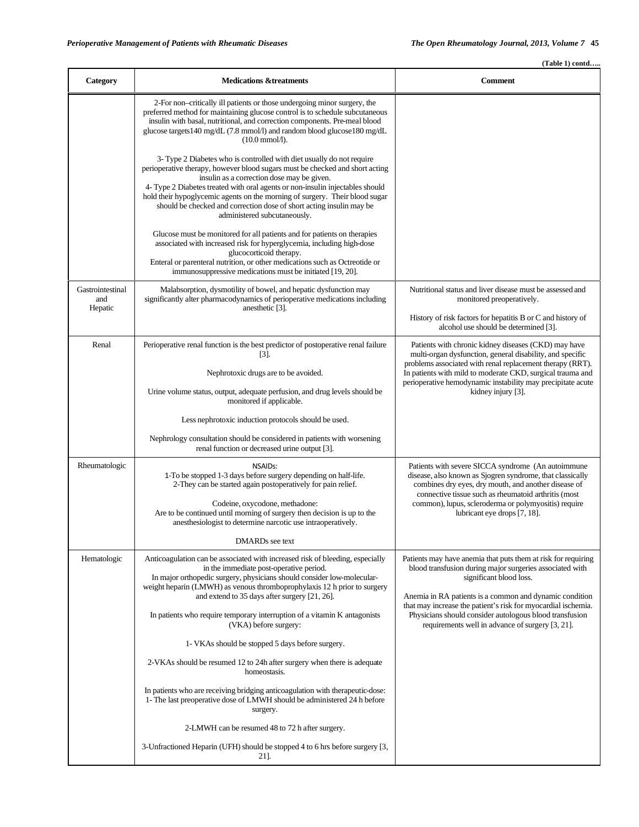|                                    |                                                                                                                                                                                                                                                                                                                                                                                                                                                                             | $(Table 1)$ contd                                                                                                                                                                                                                                                                                                                                                                               |
|------------------------------------|-----------------------------------------------------------------------------------------------------------------------------------------------------------------------------------------------------------------------------------------------------------------------------------------------------------------------------------------------------------------------------------------------------------------------------------------------------------------------------|-------------------------------------------------------------------------------------------------------------------------------------------------------------------------------------------------------------------------------------------------------------------------------------------------------------------------------------------------------------------------------------------------|
| Category                           | <b>Medications &amp;treatments</b>                                                                                                                                                                                                                                                                                                                                                                                                                                          | <b>Comment</b>                                                                                                                                                                                                                                                                                                                                                                                  |
|                                    | 2-For non-critically ill patients or those undergoing minor surgery, the<br>preferred method for maintaining glucose control is to schedule subcutaneous<br>insulin with basal, nutritional, and correction components. Pre-meal blood<br>glucose targets 140 mg/dL (7.8 mmol/l) and random blood glucose 180 mg/dL<br>$(10.0 \text{ mmol/l}).$                                                                                                                             |                                                                                                                                                                                                                                                                                                                                                                                                 |
|                                    | 3- Type 2 Diabetes who is controlled with diet usually do not require<br>perioperative therapy, however blood sugars must be checked and short acting<br>insulin as a correction dose may be given.<br>4- Type 2 Diabetes treated with oral agents or non-insulin injectables should<br>hold their hypoglycemic agents on the morning of surgery. Their blood sugar<br>should be checked and correction dose of short acting insulin may be<br>administered subcutaneously. |                                                                                                                                                                                                                                                                                                                                                                                                 |
|                                    | Glucose must be monitored for all patients and for patients on therapies<br>associated with increased risk for hyperglycemia, including high-dose<br>glucocorticoid therapy.<br>Enteral or parenteral nutrition, or other medications such as Octreotide or<br>immunosuppressive medications must be initiated [19, 20].                                                                                                                                                    |                                                                                                                                                                                                                                                                                                                                                                                                 |
| Gastrointestinal<br>and<br>Hepatic | Malabsorption, dysmotility of bowel, and hepatic dysfunction may<br>significantly alter pharmacodynamics of perioperative medications including<br>anesthetic [3].                                                                                                                                                                                                                                                                                                          | Nutritional status and liver disease must be assessed and<br>monitored preoperatively.                                                                                                                                                                                                                                                                                                          |
|                                    |                                                                                                                                                                                                                                                                                                                                                                                                                                                                             | History of risk factors for hepatitis B or C and history of<br>alcohol use should be determined [3].                                                                                                                                                                                                                                                                                            |
| Renal                              | Perioperative renal function is the best predictor of postoperative renal failure<br>$\lceil 3 \rceil$ .                                                                                                                                                                                                                                                                                                                                                                    | Patients with chronic kidney diseases (CKD) may have<br>multi-organ dysfunction, general disability, and specific<br>problems associated with renal replacement therapy (RRT).                                                                                                                                                                                                                  |
|                                    | Nephrotoxic drugs are to be avoided.                                                                                                                                                                                                                                                                                                                                                                                                                                        | In patients with mild to moderate CKD, surgical trauma and                                                                                                                                                                                                                                                                                                                                      |
|                                    | Urine volume status, output, adequate perfusion, and drug levels should be<br>monitored if applicable.                                                                                                                                                                                                                                                                                                                                                                      | perioperative hemodynamic instability may precipitate acute<br>kidney injury [3].                                                                                                                                                                                                                                                                                                               |
|                                    | Less nephrotoxic induction protocols should be used.                                                                                                                                                                                                                                                                                                                                                                                                                        |                                                                                                                                                                                                                                                                                                                                                                                                 |
|                                    | Nephrology consultation should be considered in patients with worsening<br>renal function or decreased urine output [3].                                                                                                                                                                                                                                                                                                                                                    |                                                                                                                                                                                                                                                                                                                                                                                                 |
| Rheumatologic                      | <b>NSAIDs:</b><br>1-To be stopped 1-3 days before surgery depending on half-life.<br>2-They can be started again postoperatively for pain relief.                                                                                                                                                                                                                                                                                                                           | Patients with severe SICCA syndrome (An autoimmune<br>disease, also known as Sjogren syndrome, that classically<br>combines dry eyes, dry mouth, and another disease of<br>connective tissue such as rheumatoid arthritis (most<br>common), lupus, scleroderma or polymyositis) require<br>lubricant eye drops [7, 18].                                                                         |
|                                    | Codeine, oxycodone, methadone:<br>Are to be continued until morning of surgery then decision is up to the<br>anesthesiologist to determine narcotic use intraoperatively.                                                                                                                                                                                                                                                                                                   |                                                                                                                                                                                                                                                                                                                                                                                                 |
|                                    | DMARDs see text                                                                                                                                                                                                                                                                                                                                                                                                                                                             |                                                                                                                                                                                                                                                                                                                                                                                                 |
| Hematologic                        | Anticoagulation can be associated with increased risk of bleeding, especially<br>in the immediate post-operative period.<br>In major orthopedic surgery, physicians should consider low-molecular-<br>weight heparin (LMWH) as venous thromboprophylaxis 12 h prior to surgery<br>and extend to 35 days after surgery [21, 26].                                                                                                                                             | Patients may have anemia that puts them at risk for requiring<br>blood transfusion during major surgeries associated with<br>significant blood loss.<br>Anemia in RA patients is a common and dynamic condition<br>that may increase the patient's risk for myocardial ischemia.<br>Physicians should consider autologous blood transfusion<br>requirements well in advance of surgery [3, 21]. |
|                                    | In patients who require temporary interruption of a vitamin K antagonists<br>(VKA) before surgery:                                                                                                                                                                                                                                                                                                                                                                          |                                                                                                                                                                                                                                                                                                                                                                                                 |
|                                    | 1- VKAs should be stopped 5 days before surgery.                                                                                                                                                                                                                                                                                                                                                                                                                            |                                                                                                                                                                                                                                                                                                                                                                                                 |
|                                    | 2-VKAs should be resumed 12 to 24h after surgery when there is adequate<br>homeostasis.                                                                                                                                                                                                                                                                                                                                                                                     |                                                                                                                                                                                                                                                                                                                                                                                                 |
|                                    | In patients who are receiving bridging anticoagulation with therapeutic-dose:<br>1- The last preoperative dose of LMWH should be administered 24 h before<br>surgery.                                                                                                                                                                                                                                                                                                       |                                                                                                                                                                                                                                                                                                                                                                                                 |
|                                    | 2-LMWH can be resumed 48 to 72 h after surgery.                                                                                                                                                                                                                                                                                                                                                                                                                             |                                                                                                                                                                                                                                                                                                                                                                                                 |
|                                    | 3-Unfractioned Heparin (UFH) should be stopped 4 to 6 hrs before surgery [3,<br>21].                                                                                                                                                                                                                                                                                                                                                                                        |                                                                                                                                                                                                                                                                                                                                                                                                 |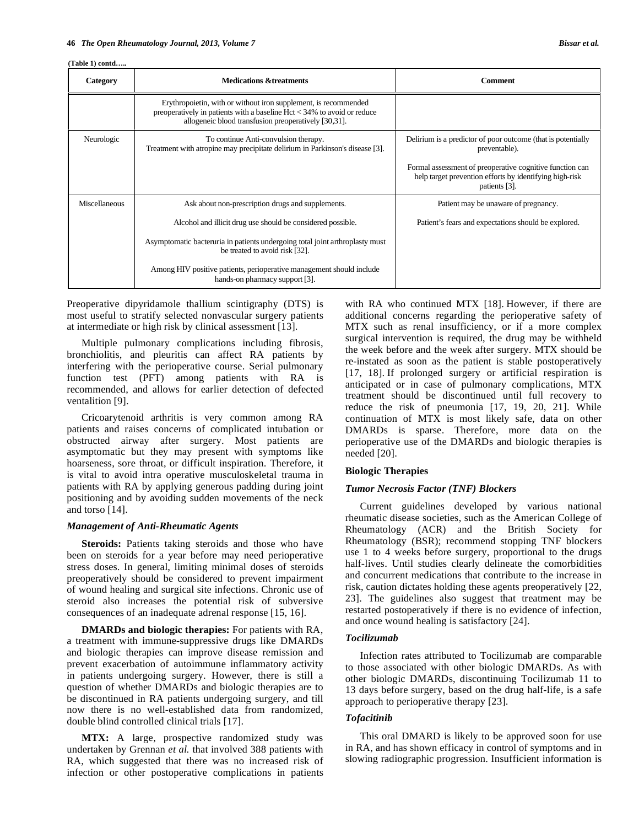**(Table 1) contd…..** 

| Category      | <b>Medications &amp;treatments</b>                                                                                                                                                                   | <b>Comment</b>                                                                                                                       |
|---------------|------------------------------------------------------------------------------------------------------------------------------------------------------------------------------------------------------|--------------------------------------------------------------------------------------------------------------------------------------|
|               | Erythropoietin, with or without iron supplement, is recommended<br>preoperatively in patients with a baseline $Hct < 34%$ to avoid or reduce<br>allogeneic blood transfusion preoperatively [30,31]. |                                                                                                                                      |
| Neurologic    | To continue Anti-convulsion therapy.<br>Treatment with atropine may precipitate delirium in Parkinson's disease [3].                                                                                 | Delirium is a predictor of poor outcome (that is potentially<br>preventable).                                                        |
|               |                                                                                                                                                                                                      | Formal assessment of preoperative cognitive function can<br>help target prevention efforts by identifying high-risk<br>patients [3]. |
| Miscellaneous | Ask about non-prescription drugs and supplements.                                                                                                                                                    | Patient may be unaware of pregnancy.                                                                                                 |
|               | Alcohol and illicit drug use should be considered possible.                                                                                                                                          | Patient's fears and expectations should be explored.                                                                                 |
|               | Asymptomatic bacteruria in patients undergoing total joint arthroplasty must<br>be treated to avoid risk [32].                                                                                       |                                                                                                                                      |
|               | Among HIV positive patients, perioperative management should include<br>hands-on pharmacy support [3].                                                                                               |                                                                                                                                      |

Preoperative dipyridamole thallium scintigraphy (DTS) is most useful to stratify selected nonvascular surgery patients at intermediate or high risk by clinical assessment [13].

 Multiple pulmonary complications including fibrosis, bronchiolitis, and pleuritis can affect RA patients by interfering with the perioperative course. Serial pulmonary function test (PFT) among patients with RA is recommended, and allows for earlier detection of defected ventalition [9].

 Cricoarytenoid arthritis is very common among RA patients and raises concerns of complicated intubation or obstructed airway after surgery. Most patients are asymptomatic but they may present with symptoms like hoarseness, sore throat, or difficult inspiration. Therefore, it is vital to avoid intra operative musculoskeletal trauma in patients with RA by applying generous padding during joint positioning and by avoiding sudden movements of the neck and torso [14].

#### *Management of Anti-Rheumatic Agents*

 **Steroids:** Patients taking steroids and those who have been on steroids for a year before may need perioperative stress doses. In general, limiting minimal doses of steroids preoperatively should be considered to prevent impairment of wound healing and surgical site infections. Chronic use of steroid also increases the potential risk of subversive consequences of an inadequate adrenal response [15, 16].

 **DMARDs and biologic therapies:** For patients with RA, a treatment with immune-suppressive drugs like DMARDs and biologic therapies can improve disease remission and prevent exacerbation of autoimmune inflammatory activity in patients undergoing surgery. However, there is still a question of whether DMARDs and biologic therapies are to be discontinued in RA patients undergoing surgery, and till now there is no well-established data from randomized, double blind controlled clinical trials [17].

 **MTX:** A large, prospective randomized study was undertaken by Grennan *et al.* that involved 388 patients with RA, which suggested that there was no increased risk of infection or other postoperative complications in patients

with RA who continued MTX [18]. However, if there are additional concerns regarding the perioperative safety of MTX such as renal insufficiency, or if a more complex surgical intervention is required, the drug may be withheld the week before and the week after surgery. MTX should be re-instated as soon as the patient is stable postoperatively [17, 18]. If prolonged surgery or artificial respiration is anticipated or in case of pulmonary complications, MTX treatment should be discontinued until full recovery to reduce the risk of pneumonia [17, 19, 20, 21]. While continuation of MTX is most likely safe, data on other DMARDs is sparse. Therefore, more data on the perioperative use of the DMARDs and biologic therapies is needed [20].

#### **Biologic Therapies**

### *Tumor Necrosis Factor (TNF) Blockers*

 Current guidelines developed by various national rheumatic disease societies, such as the American College of Rheumatology (ACR) and the British Society for Rheumatology (BSR); recommend stopping TNF blockers use 1 to 4 weeks before surgery, proportional to the drugs half-lives. Until studies clearly delineate the comorbidities and concurrent medications that contribute to the increase in risk, caution dictates holding these agents preoperatively [22, 23]. The guidelines also suggest that treatment may be restarted postoperatively if there is no evidence of infection, and once wound healing is satisfactory [24].

# *Tocilizumab*

 Infection rates attributed to Tocilizumab are comparable to those associated with other biologic DMARDs. As with other biologic DMARDs, discontinuing Tocilizumab 11 to 13 days before surgery, based on the drug half-life, is a safe approach to perioperative therapy [23].

#### *Tofacitinib*

 This oral DMARD is likely to be approved soon for use in RA, and has shown efficacy in control of symptoms and in slowing radiographic progression. Insufficient information is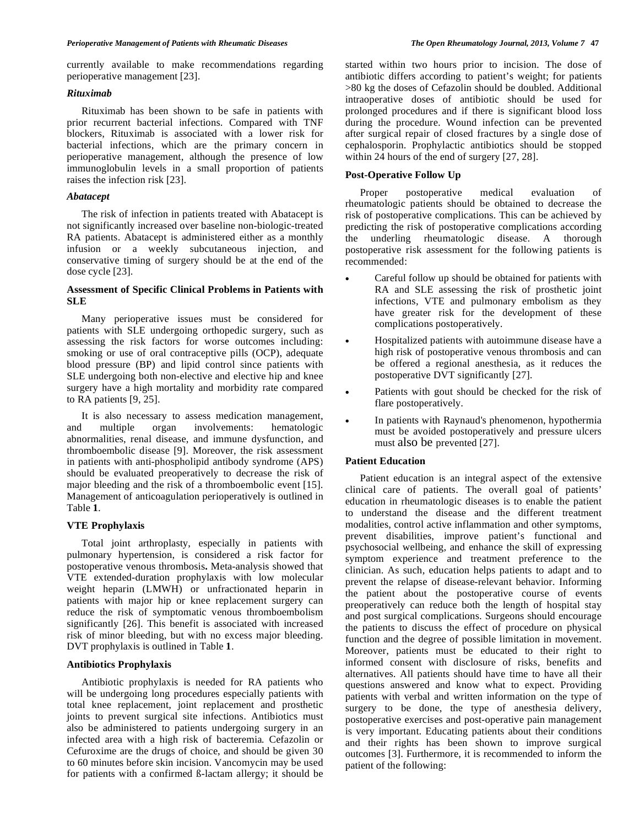currently available to make recommendations regarding perioperative management [23].

# *Rituximab*

 Rituximab has been shown to be safe in patients with prior recurrent bacterial infections. Compared with TNF blockers, Rituximab is associated with a lower risk for bacterial infections, which are the primary concern in perioperative management, although the presence of low immunoglobulin levels in a small proportion of patients raises the infection risk [23].

#### *Abatacept*

 The risk of infection in patients treated with Abatacept is not significantly increased over baseline non-biologic-treated RA patients. Abatacept is administered either as a monthly infusion or a weekly subcutaneous injection, and conservative timing of surgery should be at the end of the dose cycle [23].

# **Assessment of Specific Clinical Problems in Patients with SLE**

 Many perioperative issues must be considered for patients with SLE undergoing orthopedic surgery, such as assessing the risk factors for worse outcomes including: smoking or use of oral contraceptive pills (OCP), adequate blood pressure (BP) and lipid control since patients with SLE undergoing both non-elective and elective hip and knee surgery have a high mortality and morbidity rate compared to RA patients [9, 25].

 It is also necessary to assess medication management, and multiple organ involvements: hematologic abnormalities, renal disease, and immune dysfunction, and thromboembolic disease [9]. Moreover, the risk assessment in patients with anti-phospholipid antibody syndrome (APS) should be evaluated preoperatively to decrease the risk of major bleeding and the risk of a thromboembolic event [15]. Management of anticoagulation perioperatively is outlined in Table **1**.

#### **VTE Prophylaxis**

 Total joint arthroplasty, especially in patients with pulmonary hypertension, is considered a risk factor for postoperative venous thrombosis**.** Meta-analysis showed that VTE extended-duration prophylaxis with low molecular weight heparin (LMWH) or unfractionated heparin in patients with major hip or knee replacement surgery can reduce the risk of symptomatic venous thromboembolism significantly [26]. This benefit is associated with increased risk of minor bleeding, but with no excess major bleeding. DVT prophylaxis is outlined in Table **1**.

#### **Antibiotics Prophylaxis**

 Antibiotic prophylaxis is needed for RA patients who will be undergoing long procedures especially patients with total knee replacement, joint replacement and prosthetic joints to prevent surgical site infections. Antibiotics must also be administered to patients undergoing surgery in an infected area with a high risk of bacteremia*.* Cefazolin or Cefuroxime are the drugs of choice, and should be given 30 to 60 minutes before skin incision. Vancomycin may be used for patients with a confirmed ß-lactam allergy; it should be

started within two hours prior to incision. The dose of antibiotic differs according to patient's weight; for patients >80 kg the doses of Cefazolin should be doubled. Additional intraoperative doses of antibiotic should be used for prolonged procedures and if there is significant blood loss during the procedure. Wound infection can be prevented after surgical repair of closed fractures by a single dose of cephalosporin. Prophylactic antibiotics should be stopped within 24 hours of the end of surgery [27, 28].

# **Post-Operative Follow Up**

 Proper postoperative medical evaluation of rheumatologic patients should be obtained to decrease the risk of postoperative complications. This can be achieved by predicting the risk of postoperative complications according the underling rheumatologic disease. A thorough postoperative risk assessment for the following patients is recommended:

- Careful follow up should be obtained for patients with RA and SLE assessing the risk of prosthetic joint infections, VTE and pulmonary embolism as they have greater risk for the development of these complications postoperatively.
- Hospitalized patients with autoimmune disease have a high risk of postoperative venous thrombosis and can be offered a regional anesthesia, as it reduces the postoperative DVT significantly [27].
- Patients with gout should be checked for the risk of flare postoperatively.
- In patients with Raynaud's phenomenon, hypothermia must be avoided postoperatively and pressure ulcers must also be prevented [27].

#### **Patient Education**

 Patient education is an integral aspect of the extensive clinical care of patients. The overall goal of patients' education in rheumatologic diseases is to enable the patient to understand the disease and the different treatment modalities, control active inflammation and other symptoms, prevent disabilities, improve patient's functional and psychosocial wellbeing, and enhance the skill of expressing symptom experience and treatment preference to the clinician. As such, education helps patients to adapt and to prevent the relapse of disease-relevant behavior. Informing the patient about the postoperative course of events preoperatively can reduce both the length of hospital stay and post surgical complications. Surgeons should encourage the patients to discuss the effect of procedure on physical function and the degree of possible limitation in movement. Moreover, patients must be educated to their right to informed consent with disclosure of risks, benefits and alternatives. All patients should have time to have all their questions answered and know what to expect. Providing patients with verbal and written information on the type of surgery to be done, the type of anesthesia delivery, postoperative exercises and post-operative pain management is very important. Educating patients about their conditions and their rights has been shown to improve surgical outcomes [3]. Furthermore, it is recommended to inform the patient of the following: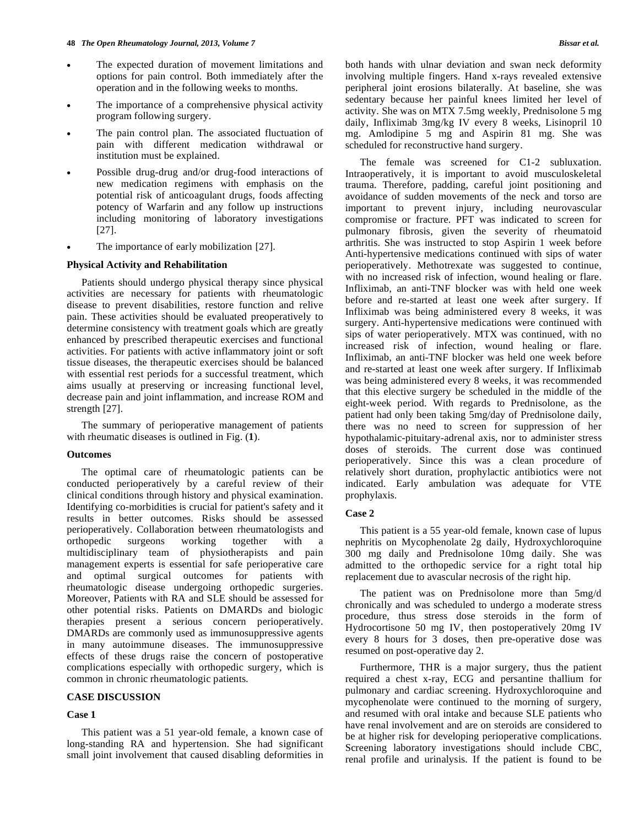- The expected duration of movement limitations and options for pain control. Both immediately after the operation and in the following weeks to months.
- The importance of a comprehensive physical activity program following surgery.
- The pain control plan. The associated fluctuation of pain with different medication withdrawal or institution must be explained.
- Possible drug-drug and/or drug-food interactions of new medication regimens with emphasis on the potential risk of anticoagulant drugs, foods affecting potency of Warfarin and any follow up instructions including monitoring of laboratory investigations [27].
- The importance of early mobilization [27].

# **Physical Activity and Rehabilitation**

 Patients should undergo physical therapy since physical activities are necessary for patients with rheumatologic disease to prevent disabilities, restore function and relive pain. These activities should be evaluated preoperatively to determine consistency with treatment goals which are greatly enhanced by prescribed therapeutic exercises and functional activities. For patients with active inflammatory joint or soft tissue diseases, the therapeutic exercises should be balanced with essential rest periods for a successful treatment, which aims usually at preserving or increasing functional level, decrease pain and joint inflammation, and increase ROM and strength [27].

 The summary of perioperative management of patients with rheumatic diseases is outlined in Fig. (**1**).

#### **Outcomes**

 The optimal care of rheumatologic patients can be conducted perioperatively by a careful review of their clinical conditions through history and physical examination. Identifying co-morbidities is crucial for patient's safety and it results in better outcomes. Risks should be assessed perioperatively. Collaboration between rheumatologists and orthopedic surgeons working together with a multidisciplinary team of physiotherapists and pain management experts is essential for safe perioperative care and optimal surgical outcomes for patients with rheumatologic disease undergoing orthopedic surgeries. Moreover, Patients with RA and SLE should be assessed for other potential risks. Patients on DMARDs and biologic therapies present a serious concern perioperatively. DMARDs are commonly used as immunosuppressive agents in many autoimmune diseases. The immunosuppressive effects of these drugs raise the concern of postoperative complications especially with orthopedic surgery, which is common in chronic rheumatologic patients.

### **CASE DISCUSSION**

#### **Case 1**

 This patient was a 51 year-old female, a known case of long-standing RA and hypertension. She had significant small joint involvement that caused disabling deformities in

both hands with ulnar deviation and swan neck deformity involving multiple fingers. Hand x-rays revealed extensive peripheral joint erosions bilaterally. At baseline, she was sedentary because her painful knees limited her level of activity. She was on MTX 7.5mg weekly, Prednisolone 5 mg daily, Infliximab 3mg/kg IV every 8 weeks, Lisinopril 10 mg. Amlodipine 5 mg and Aspirin 81 mg. She was scheduled for reconstructive hand surgery.

 The female was screened for C1-2 subluxation. Intraoperatively, it is important to avoid musculoskeletal trauma. Therefore, padding, careful joint positioning and avoidance of sudden movements of the neck and torso are important to prevent injury, including neurovascular compromise or fracture. PFT was indicated to screen for pulmonary fibrosis, given the severity of rheumatoid arthritis. She was instructed to stop Aspirin 1 week before Anti-hypertensive medications continued with sips of water perioperatively. Methotrexate was suggested to continue, with no increased risk of infection, wound healing or flare. Infliximab, an anti-TNF blocker was with held one week before and re-started at least one week after surgery. If Infliximab was being administered every 8 weeks, it was surgery. Anti-hypertensive medications were continued with sips of water perioperatively. MTX was continued, with no increased risk of infection, wound healing or flare. Infliximab, an anti-TNF blocker was held one week before and re-started at least one week after surgery. If Infliximab was being administered every 8 weeks, it was recommended that this elective surgery be scheduled in the middle of the eight-week period. With regards to Prednisolone, as the patient had only been taking 5mg/day of Prednisolone daily, there was no need to screen for suppression of her hypothalamic-pituitary-adrenal axis, nor to administer stress doses of steroids. The current dose was continued perioperatively. Since this was a clean procedure of relatively short duration, prophylactic antibiotics were not indicated. Early ambulation was adequate for VTE prophylaxis.

#### **Case 2**

 This patient is a 55 year-old female, known case of lupus nephritis on Mycophenolate 2g daily, Hydroxychloroquine 300 mg daily and Prednisolone 10mg daily. She was admitted to the orthopedic service for a right total hip replacement due to avascular necrosis of the right hip.

 The patient was on Prednisolone more than 5mg/d chronically and was scheduled to undergo a moderate stress procedure, thus stress dose steroids in the form of Hydrocortisone 50 mg IV, then postoperatively 20mg IV every 8 hours for 3 doses, then pre-operative dose was resumed on post-operative day 2.

 Furthermore, THR is a major surgery, thus the patient required a chest x-ray, ECG and persantine thallium for pulmonary and cardiac screening. Hydroxychloroquine and mycophenolate were continued to the morning of surgery, and resumed with oral intake and because SLE patients who have renal involvement and are on steroids are considered to be at higher risk for developing perioperative complications. Screening laboratory investigations should include CBC, renal profile and urinalysis. If the patient is found to be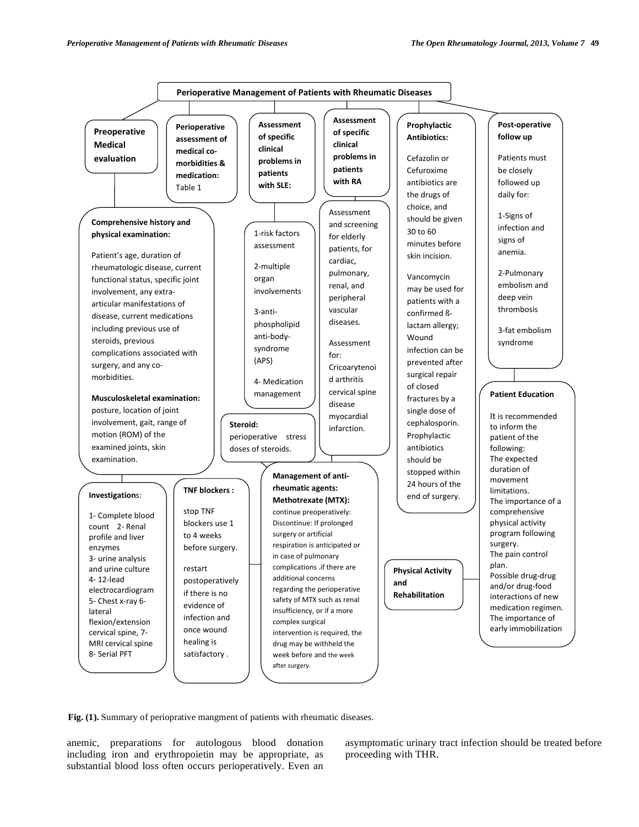

Fig. (1). Summary of perioprative mangment of patients with rheumatic diseases.

anemic, preparations for autologous blood donation including iron and erythropoietin may be appropriate, as substantial blood loss often occurs perioperatively. Even an

asymptomatic urinary tract infection should be treated before proceeding with THR.